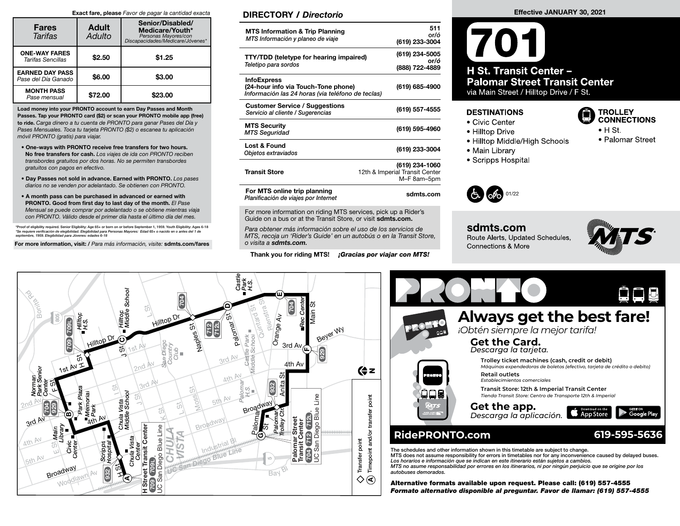#### Exact fare, please Favor de pagar la cantidad exacta

| <b>Fares</b><br>Tarifas                       | <b>Adult</b><br>Adulto | Senior/Disabled/<br>Medicare/Youth*<br>Personas Mayores/con<br>Discapacidades/Medicare/Jóvenes* |
|-----------------------------------------------|------------------------|-------------------------------------------------------------------------------------------------|
| <b>ONE-WAY FARES</b><br>Tarifas Sencillas     | \$2.50                 | \$1.25                                                                                          |
| <b>EARNED DAY PASS</b><br>Pase del Día Ganado | \$6.00                 | \$3.00                                                                                          |
| <b>MONTH PASS</b><br>Pase mensual             | \$72.00                | \$23.00                                                                                         |

Load money into your PRONTO account to earn Day Passes and Month Passes. Tap your PRONTO card (\$2) or scan your PRONTO mobile app (free) to ride. Carga dinero a tu cuenta de PRONTO para ganar Pases del Día y Pases Mensuales. Toca tu tarjeta PRONTO (\$2) o escanea tu aplicación móvil PRONTO (gratis) para viajar.

- One-ways with PRONTO receive free transfers for two hours. No free transfers for cash. Los viajes de ida con PRONTO reciben transbordes gratuitos por dos horas. No se permiten transbordes gratuitos con pagos en efectivo.
- Day Passes not sold in advance. Earned with PRONTO. Los pases diarios no se venden por adelantado. Se obtienen con PRONTO.
- A month pass can be purchased in advanced or earned with PRONTO. Good from first day to last day of the month. El Pase Mensual se puede comprar por adelantado o se obtiene mientras viaja con PRONTO. Válido desde el primer día hasta el último día del mes.

\*Proof of eligibility required. Senior Eligibility: Age 65+ or born on or before September 1, 1959. Youth Eligibility: Ages 6-18<br>\*Se requiere verificación de elegibilidad. Elegibilidad para Personas Mayores: Edad 65+ o nac

For more information, visit: / Para más información, visite: sdmts.com/fares

### DIRECTORY / Directorio

| <b>MTS Information &amp; Trip Planning</b><br>MTS Información y planeo de viaje                                | 511<br>or/ó<br>(619) 233-3004                                   |
|----------------------------------------------------------------------------------------------------------------|-----------------------------------------------------------------|
| <b>TTY/TDD (teletype for hearing impaired)</b><br>Teletipo para sordos                                         | (619) 234-5005<br>or/ó<br>(888) 722-4889                        |
| <b>InfoExpress</b><br>(24-hour info via Touch-Tone phone)<br>Información las 24 horas (via teléfono de teclas) | (619) 685-4900                                                  |
| <b>Customer Service / Suggestions</b><br>Servicio al cliente / Sugerencias                                     | (619) 557-4555                                                  |
| <b>MTS Security</b><br><b>MTS Seguridad</b>                                                                    | (619) 595-4960                                                  |
| Lost & Found<br>Objetos extraviados                                                                            | (619) 233-3004                                                  |
| <b>Transit Store</b>                                                                                           | (619) 234-1060<br>12th & Imperial Transit Center<br>M-F 8am-5pm |
| For MTS online trip planning<br>Planificación de viajes por Internet                                           | sdmts.com                                                       |

For more information on riding MTS services, pick up a Rider's Guide on a bus or at the Transit Store, or visit sdmts.com.

Para obtener más información sobre el uso de los servicios de MTS, recoja un 'Rider's Guide' en un autobús o en la Transit Store, o visita a sdmts.com.

Thank you for riding MTS! *¡Gracias por viajar con MTS!* 

# Effective JANUARY 30, 2021

## 701 H St. Transit Center -**Palomar Street Transit Center** via Main Street / Hilltop Drive / F St.

#### **DESTINATIONS**

- Civic Center
- Hilltop Drive
- Hilltop Middle/High Schools
- Main Library
- Scripps Hospital



sdmts.com Route Alerts, Updated Schedules, **Connections & More** 







Alternative formats available upon request. Please call: (619) 557-4555 Formato alternativo disponible al preguntar. Favor de llamar: (619) 557-4555

- **TROLLEY CONNECTIONS**
- $\bullet$  H St.
	- Palomar Street